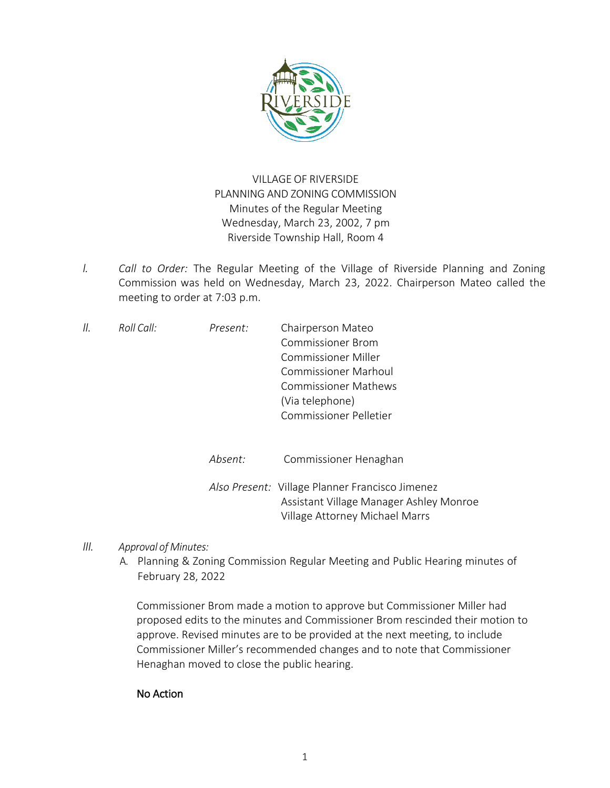

## VILLAGE OF RIVERSIDE PLANNING AND ZONING COMMISSION Minutes of the Regular Meeting Wednesday, March 23, 2002, 7 pm Riverside Township Hall, Room 4

*I. Call to Order:* The Regular Meeting of the Village of Riverside Planning and Zoning Commission was held on Wednesday, March 23, 2022. Chairperson Mateo called the meeting to order at 7:03 p.m.

| 11. | Roll Call: | Present: | Chairperson Mateo           |
|-----|------------|----------|-----------------------------|
|     |            |          | <b>Commissioner Brom</b>    |
|     |            |          | Commissioner Miller         |
|     |            |          | <b>Commissioner Marhoul</b> |
|     |            |          | <b>Commissioner Mathews</b> |
|     |            |          | (Via telephone)             |
|     |            |          | Commissioner Pelletier      |
|     |            |          |                             |

| Absent: | Commissioner Henaghan                                                                      |
|---------|--------------------------------------------------------------------------------------------|
|         | Also Present: Village Planner Francisco Jimenez<br>Assistant Village Manager Ashley Monroe |
|         | Village Attorney Michael Marrs                                                             |

- *III. Approval of Minutes:*
	- A. Planning & Zoning Commission Regular Meeting and Public Hearing minutes of February 28, 2022

Commissioner Brom made a motion to approve but Commissioner Miller had proposed edits to the minutes and Commissioner Brom rescinded their motion to approve. Revised minutes are to be provided at the next meeting, to include Commissioner Miller's recommended changes and to note that Commissioner Henaghan moved to close the public hearing.

## No Action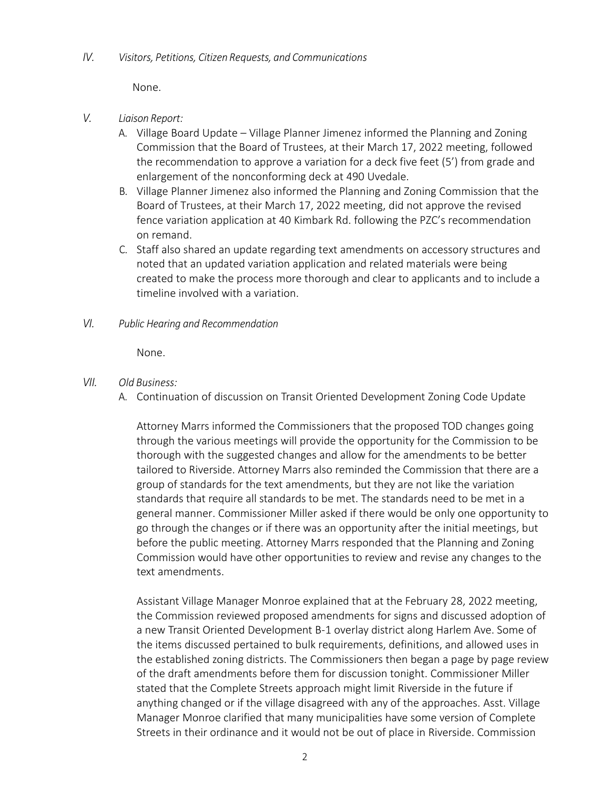None.

- *V. Liaison Report:*
	- A. Village Board Update Village Planner Jimenez informed the Planning and Zoning Commission that the Board of Trustees, at their March 17, 2022 meeting, followed the recommendation to approve a variation for a deck five feet (5') from grade and enlargement of the nonconforming deck at 490 Uvedale.
	- B. Village Planner Jimenez also informed the Planning and Zoning Commission that the Board of Trustees, at their March 17, 2022 meeting, did not approve the revised fence variation application at 40 Kimbark Rd. following the PZC's recommendation on remand.
	- C. Staff also shared an update regarding text amendments on accessory structures and noted that an updated variation application and related materials were being created to make the process more thorough and clear to applicants and to include a timeline involved with a variation.
- *VI. Public Hearing and Recommendation*

None.

- *VII. Old Business:* 
	- A. Continuation of discussion on Transit Oriented Development Zoning Code Update

Attorney Marrs informed the Commissioners that the proposed TOD changes going through the various meetings will provide the opportunity for the Commission to be thorough with the suggested changes and allow for the amendments to be better tailored to Riverside. Attorney Marrs also reminded the Commission that there are a group of standards for the text amendments, but they are not like the variation standards that require all standards to be met. The standards need to be met in a general manner. Commissioner Miller asked if there would be only one opportunity to go through the changes or if there was an opportunity after the initial meetings, but before the public meeting. Attorney Marrs responded that the Planning and Zoning Commission would have other opportunities to review and revise any changes to the text amendments.

Assistant Village Manager Monroe explained that at the February 28, 2022 meeting, the Commission reviewed proposed amendments for signs and discussed adoption of a new Transit Oriented Development B-1 overlay district along Harlem Ave. Some of the items discussed pertained to bulk requirements, definitions, and allowed uses in the established zoning districts. The Commissioners then began a page by page review of the draft amendments before them for discussion tonight. Commissioner Miller stated that the Complete Streets approach might limit Riverside in the future if anything changed or if the village disagreed with any of the approaches. Asst. Village Manager Monroe clarified that many municipalities have some version of Complete Streets in their ordinance and it would not be out of place in Riverside. Commission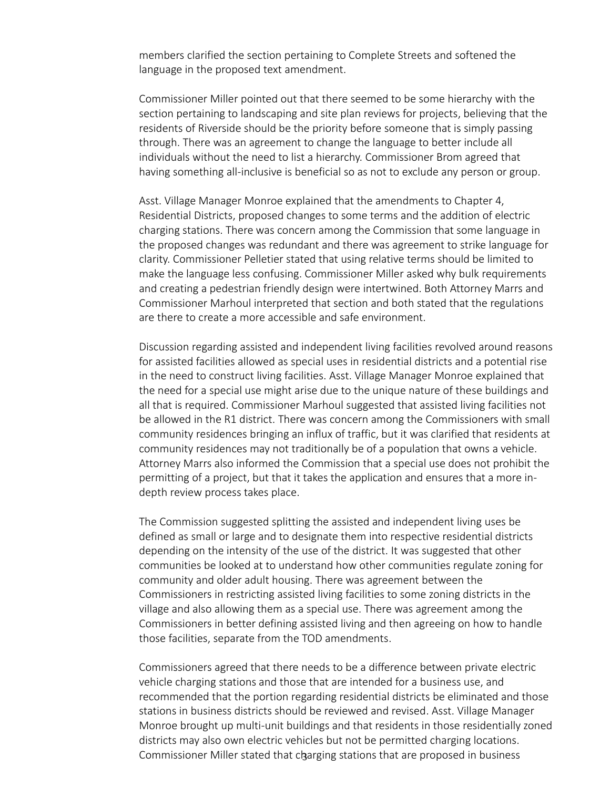members clarified the section pertaining to Complete Streets and softened the language in the proposed text amendment.

Commissioner Miller pointed out that there seemed to be some hierarchy with the section pertaining to landscaping and site plan reviews for projects, believing that the residents of Riverside should be the priority before someone that is simply passing through. There was an agreement to change the language to better include all individuals without the need to list a hierarchy. Commissioner Brom agreed that having something all-inclusive is beneficial so as not to exclude any person or group.

Asst. Village Manager Monroe explained that the amendments to Chapter 4, Residential Districts, proposed changes to some terms and the addition of electric charging stations. There was concern among the Commission that some language in the proposed changes was redundant and there was agreement to strike language for clarity. Commissioner Pelletier stated that using relative terms should be limited to make the language less confusing. Commissioner Miller asked why bulk requirements and creating a pedestrian friendly design were intertwined. Both Attorney Marrs and Commissioner Marhoul interpreted that section and both stated that the regulations are there to create a more accessible and safe environment.

Discussion regarding assisted and independent living facilities revolved around reasons for assisted facilities allowed as special uses in residential districts and a potential rise in the need to construct living facilities. Asst. Village Manager Monroe explained that the need for a special use might arise due to the unique nature of these buildings and all that is required. Commissioner Marhoul suggested that assisted living facilities not be allowed in the R1 district. There was concern among the Commissioners with small community residences bringing an influx of traffic, but it was clarified that residents at community residences may not traditionally be of a population that owns a vehicle. Attorney Marrs also informed the Commission that a special use does not prohibit the permitting of a project, but that it takes the application and ensures that a more indepth review process takes place.

The Commission suggested splitting the assisted and independent living uses be defined as small or large and to designate them into respective residential districts depending on the intensity of the use of the district. It was suggested that other communities be looked at to understand how other communities regulate zoning for community and older adult housing. There was agreement between the Commissioners in restricting assisted living facilities to some zoning districts in the village and also allowing them as a special use. There was agreement among the Commissioners in better defining assisted living and then agreeing on how to handle those facilities, separate from the TOD amendments.

Commissioner Miller stated that charging stations that are proposed in business Commissioners agreed that there needs to be a difference between private electric vehicle charging stations and those that are intended for a business use, and recommended that the portion regarding residential districts be eliminated and those stations in business districts should be reviewed and revised. Asst. Village Manager Monroe brought up multi-unit buildings and that residents in those residentially zoned districts may also own electric vehicles but not be permitted charging locations.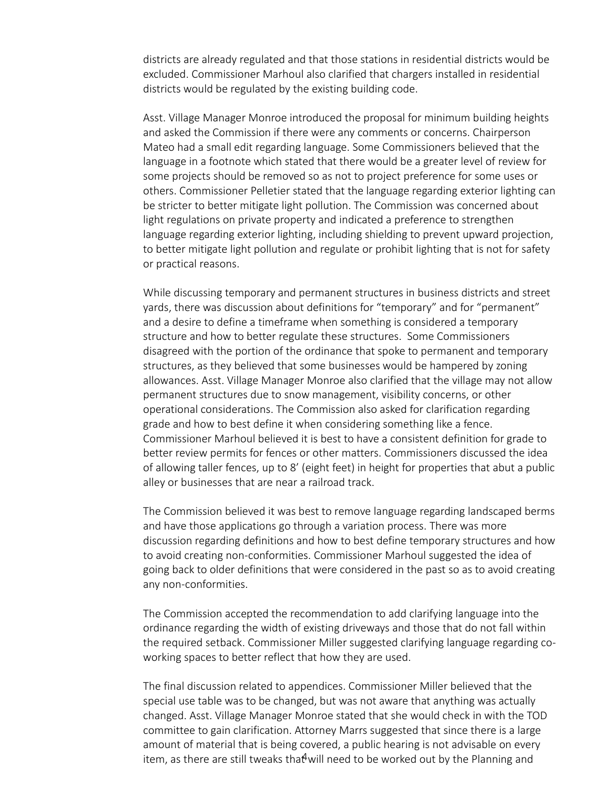districts are already regulated and that those stations in residential districts would be excluded. Commissioner Marhoul also clarified that chargers installed in residential districts would be regulated by the existing building code.

Asst. Village Manager Monroe introduced the proposal for minimum building heights and asked the Commission if there were any comments or concerns. Chairperson Mateo had a small edit regarding language. Some Commissioners believed that the language in a footnote which stated that there would be a greater level of review for some projects should be removed so as not to project preference for some uses or others. Commissioner Pelletier stated that the language regarding exterior lighting can be stricter to better mitigate light pollution. The Commission was concerned about light regulations on private property and indicated a preference to strengthen language regarding exterior lighting, including shielding to prevent upward projection, to better mitigate light pollution and regulate or prohibit lighting that is not for safety or practical reasons.

While discussing temporary and permanent structures in business districts and street yards, there was discussion about definitions for "temporary" and for "permanent" and a desire to define a timeframe when something is considered a temporary structure and how to better regulate these structures. Some Commissioners disagreed with the portion of the ordinance that spoke to permanent and temporary structures, as they believed that some businesses would be hampered by zoning allowances. Asst. Village Manager Monroe also clarified that the village may not allow permanent structures due to snow management, visibility concerns, or other operational considerations. The Commission also asked for clarification regarding grade and how to best define it when considering something like a fence. Commissioner Marhoul believed it is best to have a consistent definition for grade to better review permits for fences or other matters. Commissioners discussed the idea of allowing taller fences, up to 8' (eight feet) in height for properties that abut a public alley or businesses that are near a railroad track.

The Commission believed it was best to remove language regarding landscaped berms and have those applications go through a variation process. There was more discussion regarding definitions and how to best define temporary structures and how to avoid creating non-conformities. Commissioner Marhoul suggested the idea of going back to older definitions that were considered in the past so as to avoid creating any non-conformities.

The Commission accepted the recommendation to add clarifying language into the ordinance regarding the width of existing driveways and those that do not fall within the required setback. Commissioner Miller suggested clarifying language regarding coworking spaces to better reflect that how they are used.

item, as there are still tweaks that will need to be worked out by the Planning and The final discussion related to appendices. Commissioner Miller believed that the special use table was to be changed, but was not aware that anything was actually changed. Asst. Village Manager Monroe stated that she would check in with the TOD committee to gain clarification. Attorney Marrs suggested that since there is a large amount of material that is being covered, a public hearing is not advisable on every